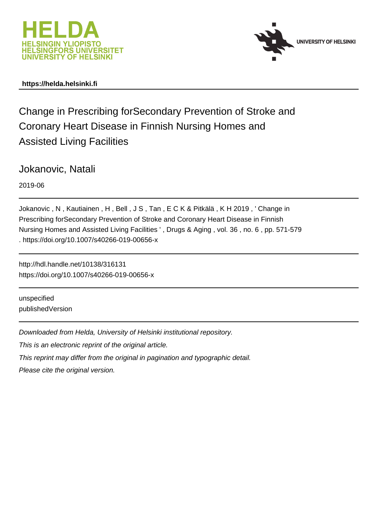



## **https://helda.helsinki.fi**

Change in Prescribing forSecondary Prevention of Stroke and Coronary Heart Disease in Finnish Nursing Homes and Assisted Living Facilities

Jokanovic, Natali

2019-06

Jokanovic , N , Kautiainen , H , Bell , J S , Tan , E C K & Pitkälä , K H 2019 , ' Change in Prescribing forSecondary Prevention of Stroke and Coronary Heart Disease in Finnish Nursing Homes and Assisted Living Facilities ' , Drugs & Aging , vol. 36 , no. 6 , pp. 571-579 . https://doi.org/10.1007/s40266-019-00656-x

http://hdl.handle.net/10138/316131 https://doi.org/10.1007/s40266-019-00656-x

unspecified publishedVersion

Downloaded from Helda, University of Helsinki institutional repository.

This is an electronic reprint of the original article.

This reprint may differ from the original in pagination and typographic detail.

Please cite the original version.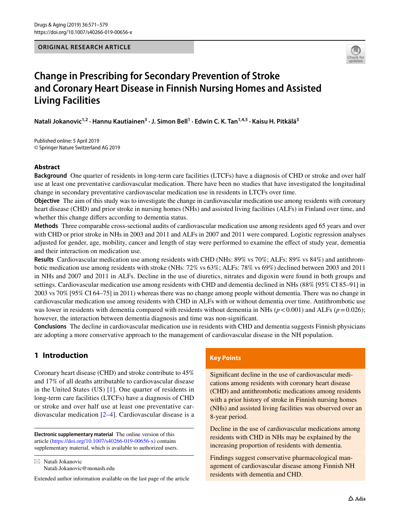

# **Change in Prescribing for Secondary Prevention of Stroke and Coronary Heart Disease in Finnish Nursing Homes and Assisted Living Facilities**

**Natali Jokanovic1,2 · Hannu Kautiainen3 · J. Simon Bell1 · Edwin C. K. Tan1,4,5 · Kaisu H. Pitkälä3**

Published online: 5 April 2019 © Springer Nature Switzerland AG 2019

## **Abstract**

**Background** One quarter of residents in long-term care facilities (LTCFs) have a diagnosis of CHD or stroke and over half use at least one preventative cardiovascular medication. There have been no studies that have investigated the longitudinal change in secondary preventative cardiovascular medication use in residents in LTCFs over time.

**Objective** The aim of this study was to investigate the change in cardiovascular medication use among residents with coronary heart disease (CHD) and prior stroke in nursing homes (NHs) and assisted living facilities (ALFs) in Finland over time, and whether this change difers according to dementia status.

**Methods** Three comparable cross-sectional audits of cardiovascular medication use among residents aged 65 years and over with CHD or prior stroke in NHs in 2003 and 2011 and ALFs in 2007 and 2011 were compared. Logistic regression analyses adjusted for gender, age, mobility, cancer and length of stay were performed to examine the efect of study year, dementia and their interaction on medication use.

**Results** Cardiovascular medication use among residents with CHD (NHs: 89% vs 70%; ALFs: 89% vs 84%) and antithrombotic medication use among residents with stroke (NHs: 72% vs 63%; ALFs: 78% vs 69%) declined between 2003 and 2011 in NHs and 2007 and 2011 in ALFs. Decline in the use of diuretics, nitrates and digoxin were found in both groups and settings. Cardiovascular medication use among residents with CHD and dementia declined in NHs (88% [95% CI 85–91] in 2003 vs 70% [95% CI 64–75] in 2011) whereas there was no change among people without dementia. There was no change in cardiovascular medication use among residents with CHD in ALFs with or without dementia over time. Antithrombotic use was lower in residents with dementia compared with residents without dementia in NHs  $(p < 0.001)$  and ALFs  $(p = 0.026)$ ; however, the interaction between dementia diagnosis and time was non-signifcant.

**Conclusions** The decline in cardiovascular medication use in residents with CHD and dementia suggests Finnish physicians are adopting a more conservative approach to the management of cardiovascular disease in the NH population.

## **1 Introduction**

Coronary heart disease (CHD) and stroke contribute to 45% and 17% of all deaths attributable to cardiovascular disease in the United States (US) [1]. One quarter of residents in long-term care facilities (LTCFs) have a diagnosis of CHD or stroke and over half use at least one preventative cardiovascular medication [2–4]. Cardiovascular disease is a

**Electronic supplementary material** The online version of this article [\(https://doi.org/10.1007/s40266-019-00656-x\)](https://doi.org/10.1007/s40266-019-00656-x) contains supplementary material, which is available to authorized users.

 $\boxtimes$  Natali Jokanovic Natali.Jokanovic@monash.edu

Extended author information available on the last page of the article

## **Key Points**

Signifcant decline in the use of cardiovascular medications among residents with coronary heart disease (CHD) and antithrombotic medications among residents with a prior history of stroke in Finnish nursing homes (NHs) and assisted living facilities was observed over an 8-year period.

Decline in the use of cardiovascular medications among residents with CHD in NHs may be explained by the increasing proportion of residents with dementia.

Findings suggest conservative pharmacological management of cardiovascular disease among Finnish NH residents with dementia and CHD.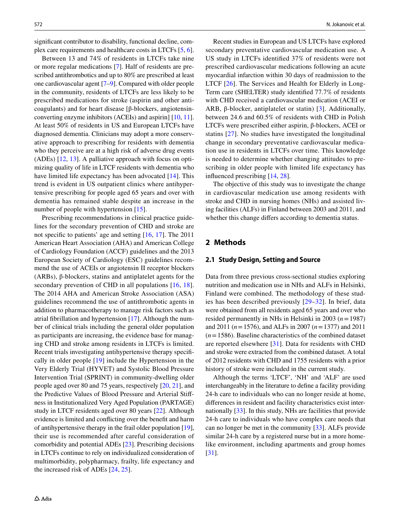signifcant contributor to disability, functional decline, complex care requirements and healthcare costs in LTCFs [5, 6].

Between 13 and 74% of residents in LTCFs take nine or more regular medications [7]. Half of residents are prescribed antithrombotics and up to 80% are prescribed at least one cardiovascular agent [7–9]. Compared with older people in the community, residents of LTCFs are less likely to be prescribed medications for stroke (aspirin and other anticoagulants) and for heart disease [β-blockers, angiotensinconverting enzyme inhibitors (ACEIs) and aspirin] [10, 11]. At least 50% of residents in US and European LTCFs have diagnosed dementia. Clinicians may adopt a more conservative approach to prescribing for residents with dementia who they perceive are at a high risk of adverse drug events (ADEs) [12, 13]. A palliative approach with focus on optimizing quality of life in LTCF residents with dementia who have limited life expectancy has been advocated [14]. This trend is evident in US outpatient clinics where antihypertensive prescribing for people aged 65 years and over with dementia has remained stable despite an increase in the number of people with hypertension [15].

Prescribing recommendations in clinical practice guidelines for the secondary prevention of CHD and stroke are not specifc to patients' age and setting [16, 17]. The 2011 American Heart Association (AHA) and American College of Cardiology Foundation (ACCF) guidelines and the 2013 European Society of Cardiology (ESC) guidelines recommend the use of ACEIs or angiotensin II receptor blockers (ARBs), β-blockers, statins and antiplatelet agents for the secondary prevention of CHD in all populations  $[16, 18]$ . The 2014 AHA and American Stroke Association (ASA) guidelines recommend the use of antithrombotic agents in addition to pharmacotherapy to manage risk factors such as atrial fbrillation and hypertension [17]. Although the number of clinical trials including the general older population as participants are increasing, the evidence base for managing CHD and stroke among residents in LTCFs is limited. Recent trials investigating antihypertensive therapy specifcally in older people [19] include the Hypertension in the Very Elderly Trial (HYVET) and Systolic Blood Pressure Intervention Trial (SPRINT) in community-dwelling older people aged over 80 and 75 years, respectively [20, 21], and the Predictive Values of Blood Pressure and Arterial Stifness in Institutionalized Very Aged Population (PARTAGE) study in LTCF residents aged over 80 years [22]. Although evidence is limited and conficting over the beneft and harm of antihypertensive therapy in the frail older population [19], their use is recommended after careful consideration of comorbidity and potential ADEs [23]. Prescribing decisions in LTCFs continue to rely on individualized consideration of multimorbidity, polypharmacy, frailty, life expectancy and the increased risk of ADEs [24, 25].

Recent studies in European and US LTCFs have explored secondary preventative cardiovascular medication use. A US study in LTCFs identifed 37% of residents were not prescribed cardiovascular medications following an acute myocardial infarction within 30 days of readmission to the LTCF [26]. The Services and Health for Elderly in Long-Term care (SHELTER) study identifed 77.7% of residents with CHD received a cardiovascular medication (ACEI or ARB,  $\beta$ -blocker, antiplatelet or statin) [3]. Additionally, between 24.6 and 60.5% of residents with CHD in Polish LTCFs were prescribed either aspirin, β-blockers, ACEI or statins [27]. No studies have investigated the longitudinal change in secondary preventative cardiovascular medication use in residents in LTCFs over time. This knowledge is needed to determine whether changing attitudes to prescribing in older people with limited life expectancy has infuenced prescribing [14, 28].

The objective of this study was to investigate the change in cardiovascular medication use among residents with stroke and CHD in nursing homes (NHs) and assisted living facilities (ALFs) in Finland between 2003 and 2011, and whether this change difers according to dementia status.

## **2 Methods**

#### **2.1 Study Design, Setting and Source**

Data from three previous cross-sectional studies exploring nutrition and medication use in NHs and ALFs in Helsinki, Finland were combined. The methodology of these studies has been described previously [29–32]. In brief, data were obtained from all residents aged 65 years and over who resided permanently in NHs in Helsinki in 2003 (*n*=1987) and 2011 (*n*=1576), and ALFs in 2007 (*n*=1377) and 2011 (*n*=1586). Baseline characteristics of the combined dataset are reported elsewhere [31]. Data for residents with CHD and stroke were extracted from the combined dataset. A total of 2012 residents with CHD and 1755 residents with a prior history of stroke were included in the current study.

Although the terms 'LTCF', 'NH' and 'ALF' are used interchangeably in the literature to defne a facility providing 24-h care to individuals who can no longer reside at home, diferences in resident and facility characteristics exist internationally [33]. In this study, NHs are facilities that provide 24-h care to individuals who have complex care needs that can no longer be met in the community [33]. ALFs provide similar 24-h care by a registered nurse but in a more homelike environment, including apartments and group homes [31].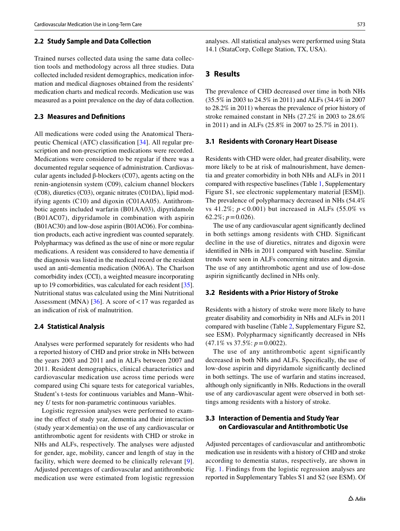#### **2.2 Study Sample and Data Collection**

Trained nurses collected data using the same data collection tools and methodology across all three studies. Data collected included resident demographics, medication information and medical diagnoses obtained from the residents' medication charts and medical records. Medication use was measured as a point prevalence on the day of data collection.

### **2.3 Measures and Defnitions**

All medications were coded using the Anatomical Therapeutic Chemical (ATC) classifcation [34]. All regular prescription and non-prescription medications were recorded. Medications were considered to be regular if there was a documented regular sequence of administration. Cardiovascular agents included β-blockers (C07), agents acting on the renin-angiotensin system (C09), calcium channel blockers (C08), diuretics (C03), organic nitrates (C01DA), lipid modifying agents (C10) and digoxin (C01AA05). Antithrombotic agents included warfarin (B01AA03), dipyridamole (B01AC07), dipyridamole in combination with aspirin (B01AC30) and low-dose aspirin (B01AC06). For combination products, each active ingredient was counted separately. Polypharmacy was defned as the use of nine or more regular medications. A resident was considered to have dementia if the diagnosis was listed in the medical record or the resident used an anti-dementia medication (N06A). The Charlson comorbidity index (CCI), a weighted measure incorporating up to 19 comorbidities, was calculated for each resident [35]. Nutritional status was calculated using the Mini Nutritional Assessment (MNA) [36]. A score of  $< 17$  was regarded as an indication of risk of malnutrition.

#### **2.4 Statistical Analysis**

Analyses were performed separately for residents who had a reported history of CHD and prior stroke in NHs between the years 2003 and 2011 and in ALFs between 2007 and 2011. Resident demographics, clinical characteristics and cardiovascular medication use across time periods were compared using Chi square tests for categorical variables, Student's t-tests for continuous variables and Mann–Whitney *U* tests for non-parametric continuous variables.

Logistic regression analyses were performed to examine the efect of study year, dementia and their interaction (study year×dementia) on the use of any cardiovascular or antithrombotic agent for residents with CHD or stroke in NHs and ALFs, respectively. The analyses were adjusted for gender, age, mobility, cancer and length of stay in the facility, which were deemed to be clinically relevant [9]. Adjusted percentages of cardiovascular and antithrombotic medication use were estimated from logistic regression analyses. All statistical analyses were performed using Stata 14.1 (StataCorp, College Station, TX, USA).

#### **3 Results**

The prevalence of CHD decreased over time in both NHs (35.5% in 2003 to 24.5% in 2011) and ALFs (34.4% in 2007 to 28.2% in 2011) whereas the prevalence of prior history of stroke remained constant in NHs (27.2% in 2003 to 28.6% in 2011) and in ALFs (25.8% in 2007 to 25.7% in 2011).

#### **3.1 Residents with Coronary Heart Disease**

Residents with CHD were older, had greater disability, were more likely to be at risk of malnourishment, have dementia and greater comorbidity in both NHs and ALFs in 2011 compared with respective baselines (Table 1, Supplementary Figure S1, see electronic supplementary material [ESM]). The prevalence of polypharmacy decreased in NHs (54.4% vs  $41.2\%$ ;  $p < 0.001$ ) but increased in ALFs (55.0% vs 62.2%;  $p = 0.026$ ).

The use of any cardiovascular agent signifcantly declined in both settings among residents with CHD. Signifcant decline in the use of diuretics, nitrates and digoxin were identifed in NHs in 2011 compared with baseline. Similar trends were seen in ALFs concerning nitrates and digoxin. The use of any antithrombotic agent and use of low-dose aspirin signifcantly declined in NHs only.

#### **3.2 Residents with a Prior History of Stroke**

Residents with a history of stroke were more likely to have greater disability and comorbidity in NHs and ALFs in 2011 compared with baseline (Table 2, Supplementary Figure S2, see ESM). Polypharmacy signifcantly decreased in NHs (47.1% vs 37.5%: *p*=0.0022).

The use of any antithrombotic agent significantly decreased in both NHs and ALFs. Specifcally, the use of low-dose aspirin and dipyridamole signifcantly declined in both settings. The use of warfarin and statins increased, although only signifcantly in NHs. Reductions in the overall use of any cardiovascular agent were observed in both settings among residents with a history of stroke.

## **3.3 Interaction of Dementia and Study Year on Cardiovascular and Antithrombotic Use**

Adjusted percentages of cardiovascular and antithrombotic medication use in residents with a history of CHD and stroke according to dementia status, respectively, are shown in Fig. 1. Findings from the logistic regression analyses are reported in Supplementary Tables S1 and S2 (see ESM). Of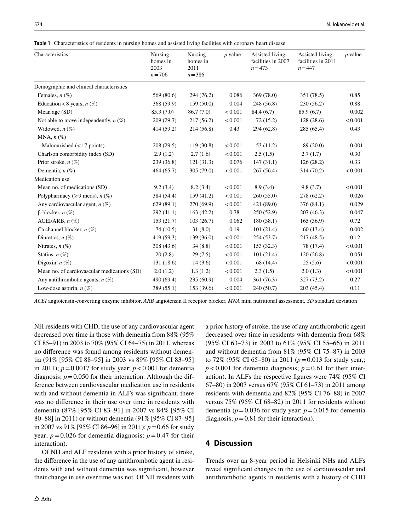**Table 1** Characteristics of residents in nursing homes and assisted living facilities with coronary heart disease

| Characteristics                             | Nursing<br>homes in<br>2003<br>$n = 706$ | Nursing<br>homes in<br>2011<br>$n = 386$ | $p$ value | Assisted living<br>facilities in 2007<br>$n = 473$ | Assisted living<br>facilities in 2011<br>$n = 447$ | $p$ value |
|---------------------------------------------|------------------------------------------|------------------------------------------|-----------|----------------------------------------------------|----------------------------------------------------|-----------|
| Demographic and clinical characteristics    |                                          |                                          |           |                                                    |                                                    |           |
| Females, $n$ (%)                            | 569 (80.6)                               | 294 (76.2)                               | 0.086     | 369 (78.0)                                         | 351 (78.5)                                         | 0.85      |
| Education <8 years, $n$ (%)                 | 368 (59.9)                               | 159(50.0)                                | 0.004     | 248 (56.8)                                         | 230(56.2)                                          | 0.88      |
| Mean age (SD)                               | 85.3 (7.0)                               | 86.7(7.0)                                | < 0.001   | 84.4(6.7)                                          | 85.9(6.7)                                          | 0.002     |
| Not able to move independently, $n$ (%)     | 209(29.7)                                | 217(56.2)                                | < 0.001   | 72(15.2)                                           | 128(28.6)                                          | < 0.001   |
| Widowed, $n$ $(\%)$                         | 414 (59.2)                               | 214(56.8)                                | 0.43      | 294 (62.8)                                         | 285 (65.4)                                         | 0.43      |
| MNA, $n$ $(\%)$                             |                                          |                                          |           |                                                    |                                                    |           |
| Malnourished $(< 17$ points)                | 208(29.5)                                | 119(30.8)                                | < 0.001   | 53(11.2)                                           | 89 (20.0)                                          | 0.001     |
| Charlson comorbidity index (SD)             | 2.9(1.2)                                 | 2.7(1.6)                                 | < 0.001   | 2.5(1.5)                                           | 2.7(1.7)                                           | 0.30      |
| Prior stroke, $n(\%)$                       | 239 (36.8)                               | 121(31.3)                                | 0.076     | 147(31.1)                                          | 126(28.2)                                          | 0.33      |
| Dementia, $n$ (%)                           | 464(65.7)                                | 305(79.0)                                | < 0.001   | 267(56.4)                                          | 314 (70.2)                                         | < 0.001   |
| Medication use                              |                                          |                                          |           |                                                    |                                                    |           |
| Mean no. of medications (SD)                | 9.2(3.4)                                 | 8.2(3.4)                                 | < 0.001   | 8.9(3.4)                                           | 9.8(3.7)                                           | < 0.001   |
| Polypharmacy ( $\geq$ 9 meds), <i>n</i> (%) | 384 (54.4)                               | 159(41.2)                                | < 0.001   | 260(55.0)                                          | 278 (62.2)                                         | 0.026     |
| Any cardiovascular agent, $n$ (%)           | 629(89.1)                                | 270(69.9)                                | < 0.001   | 421 (89.0)                                         | 376 (84.1)                                         | 0.029     |
| $\beta$ -blocker, <i>n</i> $(\%)$           | 292(41.1)                                | 163(42.2)                                | 0.78      | 250 (52.9)                                         | 207(46.3)                                          | 0.047     |
| ACEI/ARB, $n$ $(\%)$                        | 153(21.7)                                | 103(26.7)                                | 0.062     | 180(38.1)                                          | 165(36.9)                                          | 0.72      |
| Ca channel blocker, $n$ (%)                 | 74(10.5)                                 | 31(8.0)                                  | 0.19      | 101(21.4)                                          | 60(13.4)                                           | 0.002     |
| Diuretics, $n$ (%)                          | 419 (59.3)                               | 139 (36.0)                               | < 0.001   | 254 (53.7)                                         | 217(48.5)                                          | 0.12      |
| Nitrates, $n$ (%)                           | 308 (43.6)                               | 34(8.8)                                  | < 0.001   | 153(32.3)                                          | 78 (17.4)                                          | < 0.001   |
| Statins, $n(\%)$                            | 20(2.8)                                  | 29(7.5)                                  | < 0.001   | 101(21.4)                                          | 120(26.8)                                          | 0.051     |
| Digoxin, $n$ $(\%)$                         | 131 (18.6)                               | 14(3.6)                                  | < 0.001   | 68 (14.4)                                          | 25(5.6)                                            | < 0.001   |
| Mean no. of cardiovascular medications (SD) | 2.0(1.2)                                 | 1.3(1.2)                                 | < 0.001   | 2.3(1.5)                                           | 2.0(1.3)                                           | < 0.001   |
| Any antithrombotic agents, $n$ (%)          | 490 (69.4)                               | 235(60.9)                                | 0.004     | 361 (76.3)                                         | 327 (73.2)                                         | 0.27      |
| Low-dose aspirin, $n$ (%)                   | 389 (55.1)                               | 153 (39.6)                               | < 0.001   | 240 (50.7)                                         | 203(45.4)                                          | 0.11      |

*ACEI* angiotensin-converting enzyme inhibitor, *ARB* angiotensin II receptor blocker, *MNA* mini nutritional assessment, *SD* standard deviation

NH residents with CHD, the use of any cardiovascular agent decreased over time in those with dementia from 88% (95% CI 85–91) in 2003 to 70% (95% CI 64–75) in 2011, whereas no diference was found among residents without dementia (91% [95% CI 88–95] in 2003 vs 89% [95% CI 83–95] in 2011);  $p = 0.0017$  for study year;  $p < 0.001$  for dementia diagnosis;  $p = 0.050$  for their interaction. Although the difference between cardiovascular medication use in residents with and without dementia in ALFs was signifcant, there was no diference in their use over time in residents with dementia (87% [95% CI 83–91] in 2007 vs 84% [95% CI 80–88] in 2011) or without dementia (91% [95% CI 87–95] in 2007 vs 91% [95% CI 86–96] in 2011); *p*=0.66 for study year;  $p = 0.026$  for dementia diagnosis;  $p = 0.47$  for their interaction).

Of NH and ALF residents with a prior history of stroke, the diference in the use of any antithrombotic agent in residents with and without dementia was signifcant, however their change in use over time was not. Of NH residents with a prior history of stroke, the use of any antithrombotic agent decreased over time in residents with dementia from 68% (95% CI 63–73) in 2003 to 61% (95% CI 55–66) in 2011 and without dementia from 81% (95% CI 75–87) in 2003 to 72% (95% CI 65–80) in 2011 (*p*=0.013 for study year,;  $p < 0.001$  for dementia diagnosis;  $p = 0.61$  for their interaction). In ALFs the respective fgures were 74% (95% CI 67–80) in 2007 versus 67% (95% CI 61–73) in 2011 among residents with dementia and 82% (95% CI 76–88) in 2007 versus 75% (95% CI 68–82) in 2011 for residents without dementia ( $p = 0.036$  for study year;  $p = 0.015$  for dementia diagnosis;  $p = 0.81$  for their interaction).

## **4 Discussion**

Trends over an 8-year period in Helsinki NHs and ALFs reveal signifcant changes in the use of cardiovascular and antithrombotic agents in residents with a history of CHD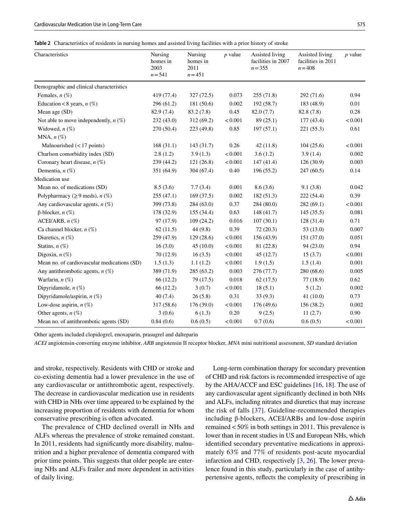**Table 2** Characteristics of residents in nursing homes and assisted living facilities with a prior history of stroke

| Characteristics                             | Nursing<br>homes in<br>2003<br>$n = 541$ | Nursing<br>homes in<br>2011<br>$n = 451$ | $p$ value | Assisted living<br>facilities in 2007<br>$n = 355$ | Assisted living<br>facilities in 2011<br>$n = 408$ | $p$ value |
|---------------------------------------------|------------------------------------------|------------------------------------------|-----------|----------------------------------------------------|----------------------------------------------------|-----------|
| Demographic and clinical characteristics    |                                          |                                          |           |                                                    |                                                    |           |
| Females, $n$ (%)                            | 419 (77.4)                               | 327(72.5)                                | 0.073     | 255(71.8)                                          | 292 (71.6)                                         | 0.94      |
| Education <8 years, $n$ (%)                 | 296 (61.2)                               | 181 (50.6)                               | 0.002     | 192 (58.7)                                         | 183 (48.9)                                         | 0.01      |
| Mean age (SD)                               | 82.9 (7.4)                               | 83.2 (7.8)                               | 0.45      | 82.0(7.7)                                          | 82.8 (7.8)                                         | 0.28      |
| Not able to move independently, $n$ (%)     | 232(43.0)                                | 312 (69.2)                               | < 0.001   | 89 (25.1)                                          | 177(43.4)                                          | < 0.001   |
| Widowed, $n$ $(\%)$                         | 270 (50.4)                               | 223 (49.8)                               | 0.85      | 197(57.1)                                          | 221 (55.3)                                         | 0.61      |
| MNA, $n$ $(\%)$                             |                                          |                                          |           |                                                    |                                                    |           |
| Malnourished $(< 17$ points)                | 168(31.1)                                | 143 (31.7)                               | 0.26      | 42(11.8)                                           | 104(25.6)                                          | < 0.001   |
| Charlson comorbidity index (SD)             | 2.8(1.2)                                 | 3.9(1.3)                                 | < 0.001   | 3.6(1.2)                                           | 3.9(1.4)                                           | 0.002     |
| Coronary heart disease, $n$ (%)             | 239 (44.2)                               | 121(26.8)                                | < 0.001   | 147(41.4)                                          | 126 (30.9)                                         | 0.003     |
| Dementia, $n$ (%)                           | 351 (64.9)                               | 304 (67.4)                               | 0.40      | 196 (55.2)                                         | 247 (60.5)                                         | 0.14      |
| Medication use                              |                                          |                                          |           |                                                    |                                                    |           |
| Mean no. of medications (SD)                | 8.5(3.6)                                 | 7.7(3.4)                                 | 0.001     | 8.6(3.6)                                           | 9.1(3.8)                                           | 0.042     |
| Polypharmacy ( $\geq$ 9 meds), n (%)        | 255(47.1)                                | 169(37.5)                                | 0.002     | 182(51.3)                                          | 222(54.4)                                          | 0.39      |
| Any cardiovascular agents, $n$ (%)          | 399 (73.8)                               | 284(63.0)                                | 0.37      | 284 (80.0)                                         | 282(69.1)                                          | < 0.001   |
| $β$ -blocker, <i>n</i> (%)                  | 178 (32.9)                               | 155 (34.4)                               | 0.63      | 148 (41.7)                                         | 145(35.5)                                          | 0.081     |
| ACEI/ARB, $n$ $(\%)$                        | 97 (17.9)                                | 109(24.2)                                | 0.016     | 107(30.1)                                          | 128 (31.4)                                         | 0.71      |
| Ca channel blocker, $n$ (%)                 | 62(11.5)                                 | 44(9.8)                                  | 0.39      | 72(20.3)                                           | 53(13.0)                                           | 0.007     |
| Diuretics, $n$ (%)                          | 259 (47.9)                               | 129(28.6)                                | < 0.001   | 156 (43.9)                                         | 151 (37.0)                                         | 0.051     |
| Statins, $n$ (%)                            | 16(3.0)                                  | 45(10.0)                                 | < 0.001   | 81 (22.8)                                          | 94(23.0)                                           | 0.94      |
| Digoxin, $n$ (%)                            | 70 (12.9)                                | 16(3.5)                                  | < 0.001   | 45(12.7)                                           | 15(3.7)                                            | < 0.001   |
| Mean no. of cardiovascular medications (SD) | 1.5(1.3)                                 | 1.1(1.2)                                 | < 0.001   | 1.9(1.5)                                           | 1.5(1.4)                                           | 0.001     |
| Any antithrombotic agents, $n$ (%)          | 389 (71.9)                               | 285(63.2)                                | 0.003     | 276(77.7)                                          | 280 (68.6)                                         | 0.005     |
| Warfarin, $n$ $(\%)$                        | 66 (12.2)                                | 79 (17.5)                                | 0.018     | 62(17.5)                                           | 77 (18.9)                                          | 0.62      |
| Dipyridamole, $n$ $(\%)$                    | 66 (12.2)                                | 3(0.7)                                   | < 0.001   | 18(5.1)                                            | 5(1.2)                                             | 0.002     |
| Dipyridamole/aspirin, $n$ (%)               | 40(7.4)                                  | 26(5.8)                                  | 0.31      | 33(9.3)                                            | 41(10.0)                                           | 0.73      |
| Low-dose aspirin, $n$ (%)                   | 317 (58.6)                               | 176 (39.0)                               | < 0.001   | 176 (49.6)                                         | 156 (38.2)                                         | 0.002     |
| Other agents, $n$ (%)                       | 3(0.6)                                   | 6(1.3)                                   | 0.20      | 9(2.5)                                             | 11(2.7)                                            | 0.90      |
| Mean no. of antithrombotic agents (SD)      | 0.84(0.6)                                | 0.6(0.5)                                 | < 0.001   | 0.7(0.6)                                           | 0.6(0.5)                                           | < 0.001   |

Other agents included clopidogrel, enoxaparin, prasugrel and dalteparin

*ACEI* angiotensin-converting enzyme inhibitor, *ARB* angiotensin II receptor blocker, *MNA* mini nutritional assessment, *SD* standard deviation

and stroke, respectively. Residents with CHD or stroke and co-existing dementia had a lower prevalence in the use of any cardiovascular or antithrombotic agent, respectively. The decrease in cardiovascular medication use in residents with CHD in NHs over time appeared to be explained by the increasing proportion of residents with dementia for whom conservative prescribing is often advocated.

The prevalence of CHD declined overall in NHs and ALFs whereas the prevalence of stroke remained constant. In 2011, residents had signifcantly more disability, malnutrition and a higher prevalence of dementia compared with prior time points. This suggests that older people are entering NHs and ALFs frailer and more dependent in activities of daily living.

Long-term combination therapy for secondary prevention of CHD and risk factors is recommended irrespective of age by the AHA/ACCF and ESC guidelines [16, 18]. The use of any cardiovascular agent signifcantly declined in both NHs and ALFs, including nitrates and diuretics that may increase the risk of falls [37]. Guideline-recommended therapies including β-blockers, ACEI/ARBs and low-dose aspirin remained<50% in both settings in 2011. This prevalence is lower than in recent studies in US and European NHs, which identifed secondary preventative medications in approximately 63% and 77% of residents post-acute myocardial infarction and CHD, respectively [3, 26]. The lower prevalence found in this study, particularly in the case of antihypertensive agents, refects the complexity of prescribing in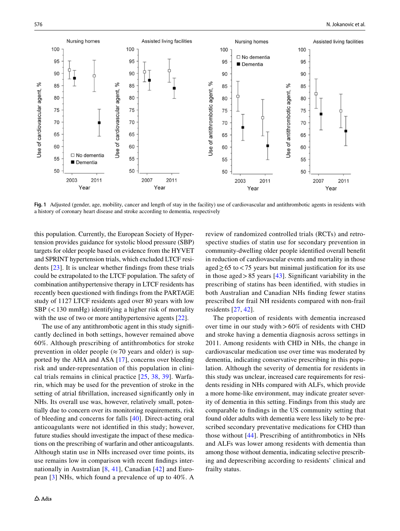

**Fig. 1** Adjusted (gender, age, mobility, cancer and length of stay in the facility) use of cardiovascular and antithrombotic agents in residents with a history of coronary heart disease and stroke according to dementia, respectively

this population. Currently, the European Society of Hypertension provides guidance for systolic blood pressure (SBP) targets for older people based on evidence from the HYVET and SPRINT hypertension trials, which excluded LTCF residents [23]. It is unclear whether fndings from these trials could be extrapolated to the LTCF population. The safety of combination antihypertensive therapy in LTCF residents has recently been questioned with fndings from the PARTAGE study of 1127 LTCF residents aged over 80 years with low  $SBP$  (<130 mmHg) identifying a higher risk of mortality with the use of two or more antihypertensive agents [22].

The use of any antithrombotic agent in this study signifcantly declined in both settings, however remained above 60%. Although prescribing of antithrombotics for stroke prevention in older people ( $\approx$  70 years and older) is supported by the AHA and ASA [17], concerns over bleeding risk and under-representation of this population in clinical trials remains in clinical practice [25, 38, 39]. Warfarin, which may be used for the prevention of stroke in the setting of atrial fbrillation, increased signifcantly only in NHs. Its overall use was, however, relatively small, potentially due to concern over its monitoring requirements, risk of bleeding and concerns for falls [40]. Direct-acting oral anticoagulants were not identifed in this study; however, future studies should investigate the impact of these medications on the prescribing of warfarin and other anticoagulants. Although statin use in NHs increased over time points, its use remains low in comparison with recent fndings internationally in Australian [8, 41], Canadian [42] and European [3] NHs, which found a prevalence of up to 40%. A

review of randomized controlled trials (RCTs) and retrospective studies of statin use for secondary prevention in community-dwelling older people identifed overall beneft in reduction of cardiovascular events and mortality in those aged  $\geq$  65 to < 75 years but minimal justification for its use in those aged >  $85$  years [43]. Significant variability in the prescribing of statins has been identifed, with studies in both Australian and Canadian NHs fnding fewer statins prescribed for frail NH residents compared with non-frail residents [27, 42].

The proportion of residents with dementia increased over time in our study with  $>60\%$  of residents with CHD and stroke having a dementia diagnosis across settings in 2011. Among residents with CHD in NHs, the change in cardiovascular medication use over time was moderated by dementia, indicating conservative prescribing in this population. Although the severity of dementia for residents in this study was unclear, increased care requirements for residents residing in NHs compared with ALFs, which provide a more home-like environment, may indicate greater severity of dementia in this setting. Findings from this study are comparable to fndings in the US community setting that found older adults with dementia were less likely to be prescribed secondary preventative medications for CHD than those without [44]. Prescribing of antithrombotics in NHs and ALFs was lower among residents with dementia than among those without dementia, indicating selective prescribing and deprescribing according to residents' clinical and frailty status.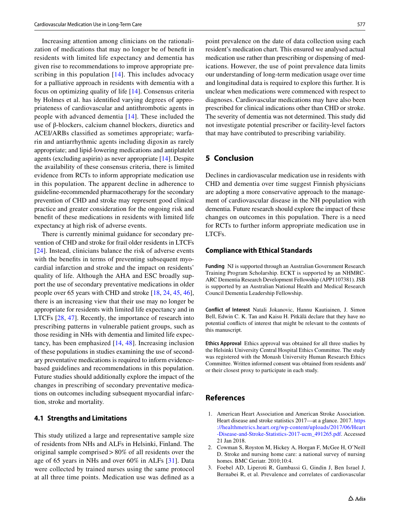Increasing attention among clinicians on the rationalization of medications that may no longer be of beneft in residents with limited life expectancy and dementia has given rise to recommendations to improve appropriate prescribing in this population [14]. This includes advocacy for a palliative approach in residents with dementia with a focus on optimizing quality of life [14]. Consensus criteria by Holmes et al. has identifed varying degrees of appropriateness of cardiovascular and antithrombotic agents in people with advanced dementia [14]. These included the use of β-blockers, calcium channel blockers, diuretics and ACEI/ARBs classifed as sometimes appropriate; warfarin and antiarrhythmic agents including digoxin as rarely appropriate; and lipid-lowering medications and antiplatelet agents (excluding aspirin) as never appropriate [14]. Despite the availability of these consensus criteria, there is limited evidence from RCTs to inform appropriate medication use in this population. The apparent decline in adherence to guideline-recommended pharmacotherapy for the secondary prevention of CHD and stroke may represent good clinical practice and greater consideration for the ongoing risk and beneft of these medications in residents with limited life expectancy at high risk of adverse events.

There is currently minimal guidance for secondary prevention of CHD and stroke for frail older residents in LTCFs [24]. Instead, clinicians balance the risk of adverse events with the benefts in terms of preventing subsequent myocardial infarction and stroke and the impact on residents' quality of life. Although the AHA and ESC broadly support the use of secondary preventative medications in older people over 65 years with CHD and stroke [18, 24, 45, 46], there is an increasing view that their use may no longer be appropriate for residents with limited life expectancy and in LTCFs [28, 47]. Recently, the importance of research into prescribing patterns in vulnerable patient groups, such as those residing in NHs with dementia and limited life expectancy, has been emphasized [14, 48]. Increasing inclusion of these populations in studies examining the use of secondary preventative medications is required to inform evidencebased guidelines and recommendations in this population. Future studies should additionally explore the impact of the changes in prescribing of secondary preventative medications on outcomes including subsequent myocardial infarction, stroke and mortality.

### **4.1 Strengths and Limitations**

This study utilized a large and representative sample size of residents from NHs and ALFs in Helsinki, Finland. The original sample comprised>80% of all residents over the age of 65 years in NHs and over 60% in ALFs [31]. Data were collected by trained nurses using the same protocol at all three time points. Medication use was defned as a

point prevalence on the date of data collection using each resident's medication chart. This ensured we analysed actual medication use rather than prescribing or dispensing of medications. However, the use of point prevalence data limits our understanding of long-term medication usage over time and longitudinal data is required to explore this further. It is unclear when medications were commenced with respect to diagnoses. Cardiovascular medications may have also been prescribed for clinical indications other than CHD or stroke. The severity of dementia was not determined. This study did not investigate potential prescriber or facility-level factors that may have contributed to prescribing variability.

## **5 Conclusion**

Declines in cardiovascular medication use in residents with CHD and dementia over time suggest Finnish physicians are adopting a more conservative approach to the management of cardiovascular disease in the NH population with dementia. Future research should explore the impact of these changes on outcomes in this population. There is a need for RCTs to further inform appropriate medication use in LTCFs.

#### **Compliance with Ethical Standards**

**Funding** NJ is supported through an Australian Government Research Training Program Scholarship. ECKT is supported by an NHMRC-ARC Dementia Research Development Fellowship (APP1107381). JSB is supported by an Australian National Health and Medical Research Council Dementia Leadership Fellowship.

**Conflict of Interest** Natali Jokanovic, Hannu Kautiainen, J. Simon Bell, Edwin C. K. Tan and Kaisu H. Pitkälä declare that they have no potential conficts of interest that might be relevant to the contents of this manuscript.

**Ethics Approval** Ethics approval was obtained for all three studies by the Helsinki University Central Hospital Ethics Committee. The study was registered with the Monash University Human Research Ethics Committee. Written informed consent was obtained from residents and/ or their closest proxy to participate in each study.

## **References**

- 1. American Heart Association and American Stroke Association. Heart disease and stroke statistics 2017—at a glance. 2017. [https](https://healthmetrics.heart.org/wp-content/uploads/2017/06/Heart-Disease-and-Stroke-Statistics-2017-ucm_491265.pdf) [://healthmetrics.heart.org/wp-content/uploads/2017/06/Heart](https://healthmetrics.heart.org/wp-content/uploads/2017/06/Heart-Disease-and-Stroke-Statistics-2017-ucm_491265.pdf) [-Disease-and-Stroke-Statistics-2017-ucm\\_491265.pdf.](https://healthmetrics.heart.org/wp-content/uploads/2017/06/Heart-Disease-and-Stroke-Statistics-2017-ucm_491265.pdf) Accessed 21 Jan 2018.
- 2. Cowman S, Royston M, Hickey A, Horgan F, McGee H, O'Neill D. Stroke and nursing home care: a national survey of nursing homes. BMC Geriatr. 2010;10:4.
- 3. Foebel AD, Liperoti R, Gambassi G, Gindin J, Ben Israel J, Bernabei R, et al. Prevalence and correlates of cardiovascular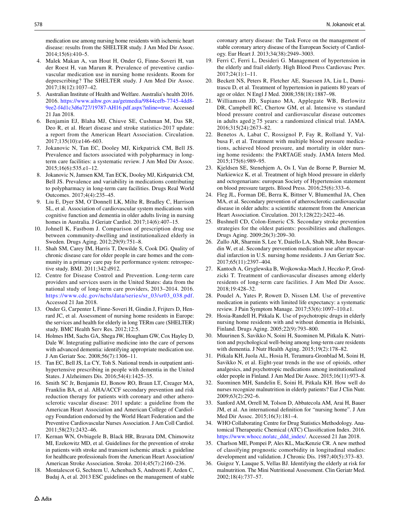medication use among nursing home residents with ischemic heart disease: results from the SHELTER study. J Am Med Dir Assoc. 2014;15(6):410–5.

- 4. Malek Makan A, van Hout H, Onder G, Finne-Soveri H, van der Roest H, van Marum R. Prevalence of preventive cardiovascular medication use in nursing home residents. Room for deprescribing? The SHELTER study. J Am Med Dir Assoc. 2017;18(12):1037–42.
- 5. Australian Institute of Health and Welfare. Australia's health 2016. 2016. [https://www.aihw.gov.au/getmedia/9844cefb-7745-4dd8-](https://www.aihw.gov.au/getmedia/9844cefb-7745-4dd8-9ee2-f4d1c3d6a727/19787-AH16.pdf.aspx%3finline%3dtrue) [9ee2-f4d1c3d6a727/19787-AH16.pdf.aspx?inline=true](https://www.aihw.gov.au/getmedia/9844cefb-7745-4dd8-9ee2-f4d1c3d6a727/19787-AH16.pdf.aspx%3finline%3dtrue). Accessed 21 Jan 2018.
- 6. Benjamin EJ, Blaha MJ, Chiuve SE, Cushman M, Das SR, Deo R, et al. Heart disease and stroke statistics-2017 update: a report from the American Heart Association. Circulation. 2017;135(10):e146–603.
- 7. Jokanovic N, Tan EC, Dooley MJ, Kirkpatrick CM, Bell JS. Prevalence and factors associated with polypharmacy in longterm care facilities: a systematic review. J Am Med Dir Assoc. 2015;16(6):535.e1–12.
- 8. Jokanovic N, Jamsen KM, Tan ECK, Dooley MJ, Kirkpatrick CM, Bell JS. Prevalence and variability in medications contributing to polypharmacy in long-term care facilities. Drugs Real World Outcomes. 2017;4(4):235–45.
- 9. Liu E, Dyer SM, O'Donnell LK, Milte R, Bradley C, Harrison SL, et al. Association of cardiovascular system medications with cognitive function and dementia in older adults living in nursing homes in Australia. J Geriatr Cardiol. 2017;14(6):407–15.
- 10. Johnell K, Fastbom J. Comparison of prescription drug use between community-dwelling and institutionalized elderly in Sweden. Drugs Aging. 2012;29(9):751–8.
- 11. Shah SM, Carey IM, Harris T, Dewilde S, Cook DG. Quality of chronic disease care for older people in care homes and the community in a primary care pay for performance system: retrospective study. BMJ. 2011;342:d912.
- 12. Centre for Disease Control and Prevention. Long-term care providers and services users in the United States: data from the national study of long-term care providers, 2013–2014. 2016. [https://www.cdc.gov/nchs/data/series/sr\\_03/sr03\\_038.pdf](https://www.cdc.gov/nchs/data/series/sr_03/sr03_038.pdf). Accessed 21 Jan 2018.
- 13. Onder G, Carpenter I, Finne-Soveri H, Gindin J, Frijters D, Henrard JC, et al. Assessment of nursing home residents in Europe: the services and health for elderly in long TERm care (SHELTER) study. BMC Health Serv Res. 2012;12:5.
- 14. Holmes HM, Sachs GA, Shega JW, Hougham GW, Cox Hayley D, Dale W. Integrating palliative medicine into the care of persons with advanced dementia: identifying appropriate medication use. J Am Geriatr Soc. 2008;56(7):1306–11.
- 15. Tan EC, Bell JS, Lu CY, Toh S. National trends in outpatient antihypertensive prescribing in people with dementia in the United States. J Alzheimers Dis. 2016;54(4):1425–35.
- 16. Smith SC Jr, Benjamin EJ, Bonow RO, Braun LT, Creager MA, Franklin BA, et al. AHA/ACCF secondary prevention and risk reduction therapy for patients with coronary and other atherosclerotic vascular disease: 2011 update: a guideline from the American Heart Association and American College of Cardiology Foundation endorsed by the World Heart Federation and the Preventive Cardiovascular Nurses Association. J Am Coll Cardiol. 2011;58(23):2432–46.
- 17. Kernan WN, Ovbiagele B, Black HR, Bravata DM, Chimowitz MI, Ezekowitz MD, et al. Guidelines for the prevention of stroke in patients with stroke and transient ischemic attack: a guideline for healthcare professionals from the American Heart Association/ American Stroke Association. Stroke. 2014;45(7):2160–236.
- 18. Montalescot G, Sechtem U, Achenbach S, Andreotti F, Arden C, Budaj A, et al. 2013 ESC guidelines on the management of stable

coronary artery disease: the Task Force on the management of stable coronary artery disease of the European Society of Cardiology. Eur Heart J. 2013;34(38):2949–3003.

- 19. Ferri C, Ferri L, Desideri G. Management of hypertension in the elderly and frail elderly. High Blood Press Cardiovasc Prev. 2017;24(1):1–11.
- 20. Beckett NS, Peters R, Fletcher AE, Staessen JA, Liu L, Dumitrascu D, et al. Treatment of hypertension in patients 80 years of age or older. N Engl J Med. 2008;358(18):1887–98.
- 21. Williamson JD, Supiano MA, Applegate WB, Berlowitz DR, Campbell RC, Chertow GM, et al. Intensive vs standard blood pressure control and cardiovascular disease outcomes in adults aged≥75 years: a randomized clinical trial. JAMA. 2016;315(24):2673–82.
- 22. Benetos A, Labat C, Rossignol P, Fay R, Rolland Y, Valbusa F, et al. Treatment with multiple blood pressure medications, achieved blood pressure, and mortality in older nursing home residents: the PARTAGE study. JAMA Intern Med. 2015;175(6):989–95.
- 23. Kjeldsen SE, Stenehjem A, Os I, Van de Borne P, Burnier M, Narkiewicz K, et al. Treatment of high blood pressure in elderly and octogenarians: european Society of Hypertension statement on blood pressure targets. Blood Press. 2016;25(6):333–6.
- 24. Fleg JL, Forman DE, Berra K, Bittner V, Blumenthal JA, Chen MA, et al. Secondary prevention of atherosclerotic cardiovascular disease in older adults: a scientifc statement from the American Heart Association. Circulation. 2013;128(22):2422–46.
- 25. Bushnell CD, Colon-Emeric CS. Secondary stroke prevention strategies for the oldest patients: possibilities and challenges. Drugs Aging. 2009;26(3):209–30.
- 26. Zullo AR, Sharmin S, Lee Y, Daiello LA, Shah NR, John Boscardin W, et al. Secondary prevention medication use after myocardial infarction in U.S. nursing home residents. J Am Geriatr Soc. 2017;65(11):2397–404.
- 27. Kantoch A, Gryglewska B, Wojkowska-Mach J, Heczko P, Grodzicki T. Treatment of cardiovascular diseases among elderly residents of long-term care facilities. J Am Med Dir Assoc. 2018;19:428–32.
- 28. Poudel A, Yates P, Rowett D, Nissen LM. Use of preventive medication in patients with limited life expectancy: a systematic review. J Pain Symptom Manage. 2017;53(6):1097–110.e1.
- 29. Hosia-Randell H, Pitkala K. Use of psychotropic drugs in elderly nursing home residents with and without dementia in Helsinki, Finland. Drugs Aging. 2005;22(9):793–800.
- 30. Muurinen S, Savikko N, Soini H, Suominen M, Pitkala K. Nutrition and psychological well-being among long-term care residents with dementia. J Nutr Health Aging. 2015;19(2):178–82.
- 31. Pitkala KH, Juola AL, Hosia H, Teramura-Gronblad M, Soini H, Savikko N, et al. Eight-year trends in the use of opioids, other analgesics, and psychotropic medications among institutionalized older people in Finland. J Am Med Dir Assoc. 2015;16(11):973–8.
- 32. Suominen MH, Sandelin E, Soini H, Pitkala KH. How well do nurses recognize malnutrition in elderly patients? Eur J Clin Nutr. 2009;63(2):292–6.
- 33. Sanford AM, Orrell M, Tolson D, Abbatecola AM, Arai H, Bauer JM, et al. An international defnition for "nursing home". J Am Med Dir Assoc. 2015;16(3):181–4.
- 34. WHO Collaborating Centre for Drug Statistics Methodology. Anatomical Therapeutic Chemical (ATC) Classifcation Index. 2016. [https://www.whocc.no/atc\\_ddd\\_index/.](https://www.whocc.no/atc_ddd_index/) Accessed 21 Jan 2018.
- 35. Charlson ME, Pompei P, Ales KL, MacKenzie CR. A new method of classifying prognostic comorbidity in longitudinal studies: development and validation. J Chronic Dis. 1987;40(5):373–83.
- 36. Guigoz Y, Lauque S, Vellas BJ. Identifying the elderly at risk for malnutrition. The Mini Nutritional Assessment. Clin Geriatr Med. 2002;18(4):737–57.